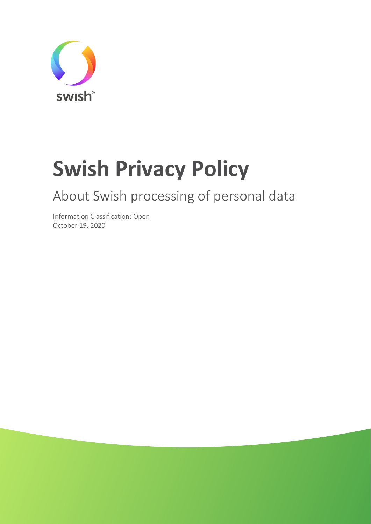

# **Swish Privacy Policy**

# About Swish processing of personal data

Information Classification: Open October 19, 2020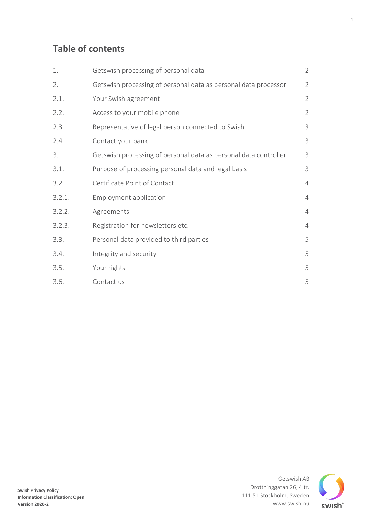### **Table of contents**

| 1.     | Getswish processing of personal data                             | $\overline{2}$ |
|--------|------------------------------------------------------------------|----------------|
| 2.     | Getswish processing of personal data as personal data processor  | $\overline{2}$ |
| 2.1.   | Your Swish agreement                                             | $\overline{2}$ |
| 2.2.   | Access to your mobile phone                                      | $\overline{2}$ |
| 2.3.   | Representative of legal person connected to Swish                | 3              |
| 2.4.   | Contact your bank                                                | 3              |
| 3.     | Getswish processing of personal data as personal data controller | 3              |
| 3.1.   | Purpose of processing personal data and legal basis              | 3              |
| 3.2.   | Certificate Point of Contact                                     | $\overline{4}$ |
| 3.2.1. | <b>Employment application</b>                                    | $\overline{4}$ |
| 3.2.2. | Agreements                                                       | $\overline{4}$ |
| 3.2.3. | Registration for newsletters etc.                                | $\overline{4}$ |
| 3.3.   | Personal data provided to third parties                          | 5              |
| 3.4.   | Integrity and security                                           | 5              |
| 3.5.   | Your rights                                                      | 5              |
| 3.6.   | Contact us                                                       | 5              |

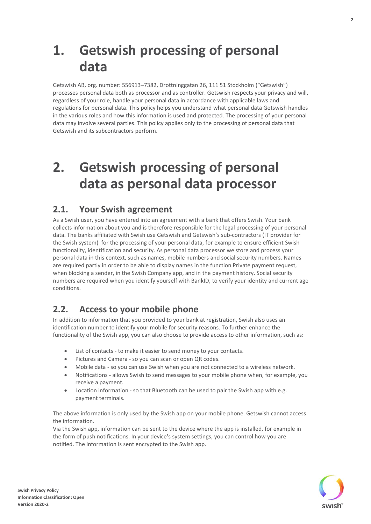# <span id="page-2-0"></span>**1. Getswish processing of personal data**

Getswish AB, org. number: 556913–7382, Drottninggatan 26, 111 51 Stockholm ("Getswish") processes personal data both as processor and as controller. Getswish respects your privacy and will, regardless of your role, handle your personal data in accordance with applicable laws and regulations for personal data. This policy helps you understand what personal data Getswish handles in the various roles and how this information is used and protected. The processing of your personal data may involve several parties. This policy applies only to the processing of personal data that Getswish and its subcontractors perform.

# <span id="page-2-1"></span>**2. Getswish processing of personal data as personal data processor**

#### <span id="page-2-2"></span>**2.1. Your Swish agreement**

As a Swish user, you have entered into an agreement with a bank that offers Swish. Your bank collects information about you and is therefore responsible for the legal processing of your personal data. The banks affiliated with Swish use Getswish and Getswish's sub-contractors (IT provider for the Swish system) for the processing of your personal data, for example to ensure efficient Swish functionality, identification and security. As personal data processor we store and process your personal data in this context, such as names, mobile numbers and social security numbers. Names are required partly in order to be able to display names in the function Private payment request, when blocking a sender, in the Swish Company app, and in the payment history. Social security numbers are required when you identify yourself with BankID, to verify your identity and current age conditions.

#### <span id="page-2-3"></span>**2.2. Access to your mobile phone**

In addition to information that you provided to your bank at registration, Swish also uses an identification number to identify your mobile for security reasons. To further enhance the functionality of the Swish app, you can also choose to provide access to other information, such as:

- List of contacts to make it easier to send money to your contacts.
- Pictures and Camera so you can scan or open QR codes.
- Mobile data so you can use Swish when you are not connected to a wireless network.
- Notifications allows Swish to send messages to your mobile phone when, for example, you receive a payment.
- Location information so that Bluetooth can be used to pair the Swish app with e.g. payment terminals.

The above information is only used by the Swish app on your mobile phone. Getswish cannot access the information.

Via the Swish app, information can be sent to the device where the app is installed, for example in the form of push notifications. In your device's system settings, you can control how you are notified. The information is sent encrypted to the Swish app.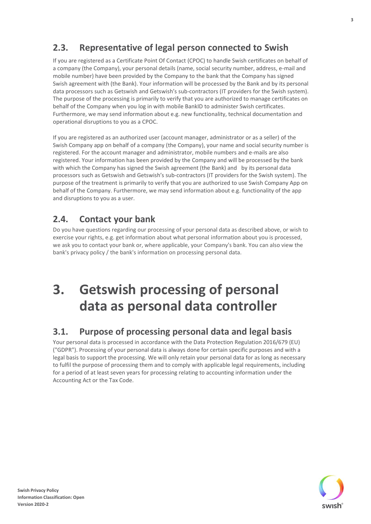### <span id="page-3-0"></span>**2.3. Representative of legal person connected to Swish**

If you are registered as a Certificate Point Of Contact (CPOC) to handle Swish certificates on behalf of a company (the Company), your personal details (name, social security number, address, e-mail and mobile number) have been provided by the Company to the bank that the Company has signed Swish agreement with (the Bank). Your information will be processed by the Bank and by its personal data processors such as Getswish and Getswish's sub-contractors (IT providers for the Swish system). The purpose of the processing is primarily to verify that you are authorized to manage certificates on behalf of the Company when you log in with mobile BankID to administer Swish certificates. Furthermore, we may send information about e.g. new functionality, technical documentation and operational disruptions to you as a CPOC.

If you are registered as an authorized user (account manager, administrator or as a seller) of the Swish Company app on behalf of a company (the Company), your name and social security number is registered. For the account manager and administrator, mobile numbers and e-mails are also registered. Your information has been provided by the Company and will be processed by the bank with which the Company has signed the Swish agreement (the Bank) and by its personal data processors such as Getswish and Getswish's sub-contractors (IT providers for the Swish system). The purpose of the treatment is primarily to verify that you are authorized to use Swish Company App on behalf of the Company. Furthermore, we may send information about e.g. functionality of the app and disruptions to you as a user.

#### <span id="page-3-1"></span>**2.4. Contact your bank**

Do you have questions regarding our processing of your personal data as described above, or wish to exercise your rights, e.g. get information about what personal information about you is processed, we ask you to contact your bank or, where applicable, your Company's bank. You can also view the bank's privacy policy / the bank's information on processing personal data.

# <span id="page-3-2"></span>**3. Getswish processing of personal data as personal data controller**

#### <span id="page-3-3"></span>**3.1. Purpose of processing personal data and legal basis**

Your personal data is processed in accordance with the Data Protection Regulation 2016/679 (EU) ("GDPR"). Processing of your personal data is always done for certain specific purposes and with a legal basis to support the processing. We will only retain your personal data for as long as necessary to fulfil the purpose of processing them and to comply with applicable legal requirements, including for a period of at least seven years for processing relating to accounting information under the Accounting Act or the Tax Code.



**3**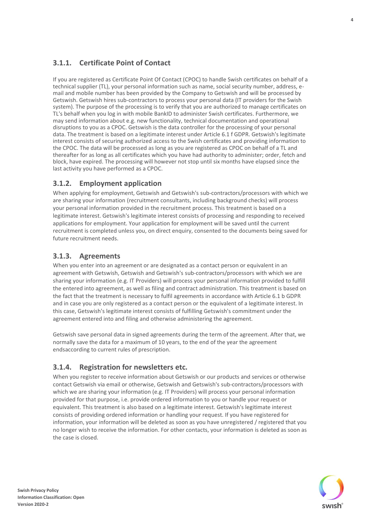#### <span id="page-4-0"></span>**3.1.1. Certificate Point of Contact**

If you are registered as Certificate Point Of Contact (CPOC) to handle Swish certificates on behalf of a technical supplier (TL), your personal information such as name, social security number, address, email and mobile number has been provided by the Company to Getswish and will be processed by Getswish. Getswish hires sub-contractors to process your personal data (IT providers for the Swish system). The purpose of the processing is to verify that you are authorized to manage certificates on TL's behalf when you log in with mobile BankID to administer Swish certificates. Furthermore, we may send information about e.g. new functionality, technical documentation and operational disruptions to you as a CPOC. Getswish is the data controller for the processing of your personal data. The treatment is based on a legitimate interest under Article 6.1 f GDPR. Getswish's legitimate interest consists of securing authorized access to the Swish certificates and providing information to the CPOC. The data will be processed as long as you are registered as CPOC on behalf of a TL and thereafter for as long as all certificates which you have had authority to administer; order, fetch and block, have expired. The processing will however not stop until six months have elapsed since the last activity you have performed as a CPOC.

#### <span id="page-4-1"></span>**3.1.2. Employment application**

When applying for employment, Getswish and Getswish's sub-contractors/processors with which we are sharing your information (recruitment consultants, including background checks) will process your personal information provided in the recruitment process. This treatment is based on a legitimate interest. Getswish's legitimate interest consists of processing and responding to received applications for employment. Your application for employment will be saved until the current recruitment is completed unless you, on direct enquiry, consented to the documents being saved for future recruitment needs.

#### <span id="page-4-2"></span>**3.1.3. Agreements**

When you enter into an agreement or are designated as a contact person or equivalent in an agreement with Getswish, Getswish and Getswish's sub-contractors/processors with which we are sharing your information (e.g. IT Providers) will process your personal information provided to fulfill the entered into agreement, as well as filing and contract administration. This treatment is based on the fact that the treatment is necessary to fulfil agreements in accordance with Article 6.1 b GDPR and in case you are only registered as a contact person or the equivalent of a legitimate interest. In this case, Getswish's legitimate interest consists of fulfilling Getswish's commitment under the agreement entered into and filing and otherwise administering the agreement.

Getswish save personal data in signed agreements during the term of the agreement. After that, we normally save the data for a maximum of 10 years, to the end of the year the agreement endsaccording to current rules of prescription.

#### <span id="page-4-3"></span>**3.1.4. Registration for newsletters etc.**

When you register to receive information about Getswish or our products and services or otherwise contact Getswish via email or otherwise, Getswish and Getswish's sub-contractors/processors with which we are sharing your information (e.g. IT Providers) will process your personal information provided for that purpose, i.e. provide ordered information to you or handle your request or equivalent. This treatment is also based on a legitimate interest. Getswish's legitimate interest consists of providing ordered information or handling your request. If you have registered for information, your information will be deleted as soon as you have unregistered / registered that you no longer wish to receive the information. For other contacts, your information is deleted as soon as the case is closed.